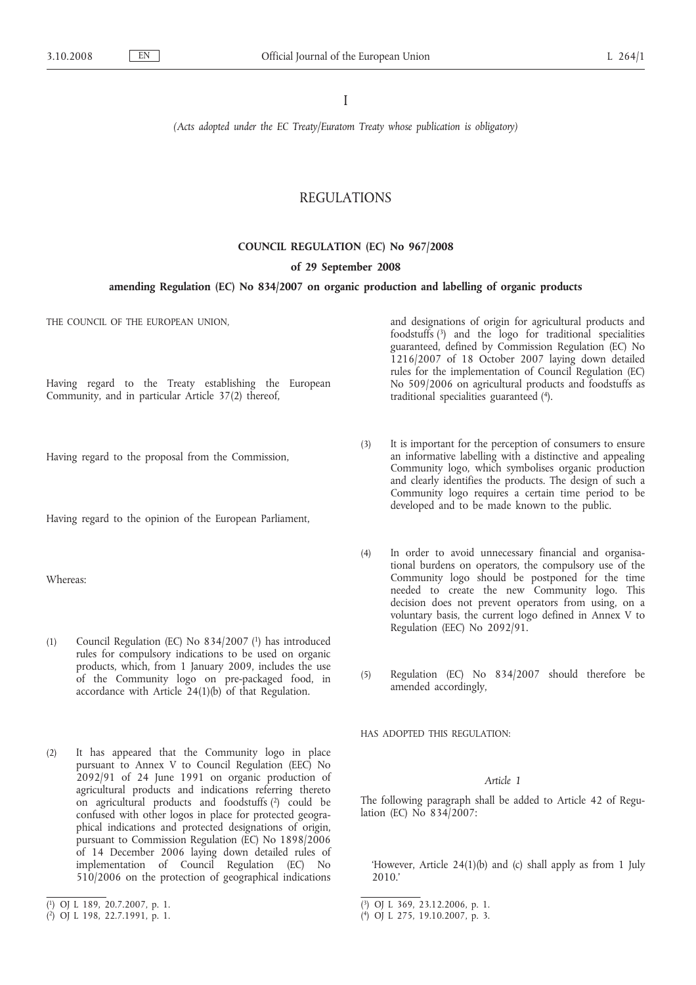I

*(Acts adopted under the EC Treaty/Euratom Treaty whose publication is obligatory)*

## REGULATIONS

# **COUNCIL REGULATION (EC) No 967/2008**

#### **of 29 September 2008**

## **amending Regulation (EC) No 834/2007 on organic production and labelling of organic products**

THE COUNCIL OF THE EUROPEAN UNION,

Having regard to the Treaty establishing the European Community, and in particular Article 37(2) thereof,

Having regard to the proposal from the Commission,

Having regard to the opinion of the European Parliament,

Whereas:

- (1) Council Regulation (EC) No 834/2007 (1) has introduced rules for compulsory indications to be used on organic products, which, from 1 January 2009, includes the use of the Community logo on pre-packaged food, in accordance with Article 24(1)(b) of that Regulation.
- (2) It has appeared that the Community logo in place pursuant to Annex V to Council Regulation (EEC) No 2092/91 of 24 June 1991 on organic production of agricultural products and indications referring thereto on agricultural products and foodstuffs (2) could be confused with other logos in place for protected geographical indications and protected designations of origin, pursuant to Commission Regulation (EC) No 1898/2006 of 14 December 2006 laying down detailed rules of implementation of Council Regulation (EC) No 510/2006 on the protection of geographical indications

and designations of origin for agricultural products and foodstuffs (3) and the logo for traditional specialities guaranteed, defined by Commission Regulation (EC) No 1216/2007 of 18 October 2007 laying down detailed rules for the implementation of Council Regulation (EC) No 509/2006 on agricultural products and foodstuffs as traditional specialities guaranteed (4).

- (3) It is important for the perception of consumers to ensure an informative labelling with a distinctive and appealing Community logo, which symbolises organic production and clearly identifies the products. The design of such a Community logo requires a certain time period to be developed and to be made known to the public.
- (4) In order to avoid unnecessary financial and organisational burdens on operators, the compulsory use of the Community logo should be postponed for the time needed to create the new Community logo. This decision does not prevent operators from using, on a voluntary basis, the current logo defined in Annex V to Regulation (EEC) No 2092/91.
- (5) Regulation (EC) No 834/2007 should therefore be amended accordingly,

HAS ADOPTED THIS REGULATION:

### *Article 1*

The following paragraph shall be added to Article 42 of Regulation (EC) No 834/2007:

'However, Article 24(1)(b) and (c) shall apply as from 1 July 2010.'

<sup>(</sup> 1) OJ L 189, 20.7.2007, p. 1.

<sup>(</sup> 2) OJ L 198, 22.7.1991, p. 1.

<sup>(</sup> 3) OJ L 369, 23.12.2006, p. 1.

<sup>(</sup> 4) OJ L 275, 19.10.2007, p. 3.